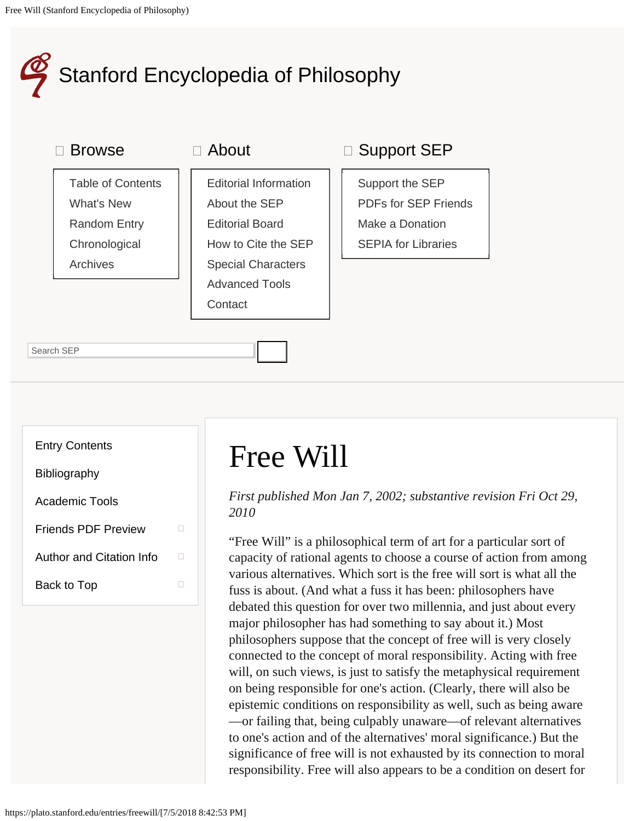# <span id="page-0-0"></span>[Stanford Encyclopedia of Philosophy](https://plato.stanford.edu/index.html) □ [Browse](#page-0-0) □ [About](#page-0-0) □ [Support SEP](#page-0-0)

[Table of Contents](https://plato.stanford.edu/contents.html) [What's New](https://plato.stanford.edu/new.html) [Random Entry](https://plato.stanford.edu/cgi-bin/encyclopedia/random) **[Chronological](https://plato.stanford.edu/published.html)** [Archives](https://plato.stanford.edu/archives/)

| <b>Editorial Information</b> |
|------------------------------|
| About the SEP                |
| <b>Editorial Board</b>       |
| How to Cite the SEP          |
| <b>Special Characters</b>    |
| <b>Advanced Tools</b>        |
| Contact                      |

[Support the SEP](https://plato.stanford.edu/support/) [PDFs for SEP Friends](https://plato.stanford.edu/support/friends.html) [Make a Donation](https://plato.stanford.edu/support/donate.html) [SEPIA for Libraries](https://plato.stanford.edu/support/sepia.html)

Search SEP

### [Entry Contents](#page-2-0) [Bibliography](#page-15-0) [Academic Tools](#page-22-0) [Friends PDF Preview](https://leibniz.stanford.edu/friends/preview/freewill/)  $\Box$ [Author and Citation Info](https://plato.stanford.edu/cgi-bin/encyclopedia/archinfo.cgi?entry=freewill)  $\Box$ [Back to Top](#page-23-0) **Back** to Top

# Free Will

*First published Mon Jan 7, 2002; substantive revision Fri Oct 29, 2010*

"Free Will" is a philosophical term of art for a particular sort of capacity of rational agents to choose a course of action from among various alternatives. Which sort is the free will sort is what all the fuss is about. (And what a fuss it has been: philosophers have debated this question for over two millennia, and just about every major philosopher has had something to say about it.) Most philosophers suppose that the concept of free will is very closely connected to the concept of moral responsibility. Acting with free will, on such views, is just to satisfy the metaphysical requirement on being responsible for one's action. (Clearly, there will also be epistemic conditions on responsibility as well, such as being aware —or failing that, being culpably unaware—of relevant alternatives to one's action and of the alternatives' moral significance.) But the significance of free will is not exhausted by its connection to moral responsibility. Free will also appears to be a condition on desert for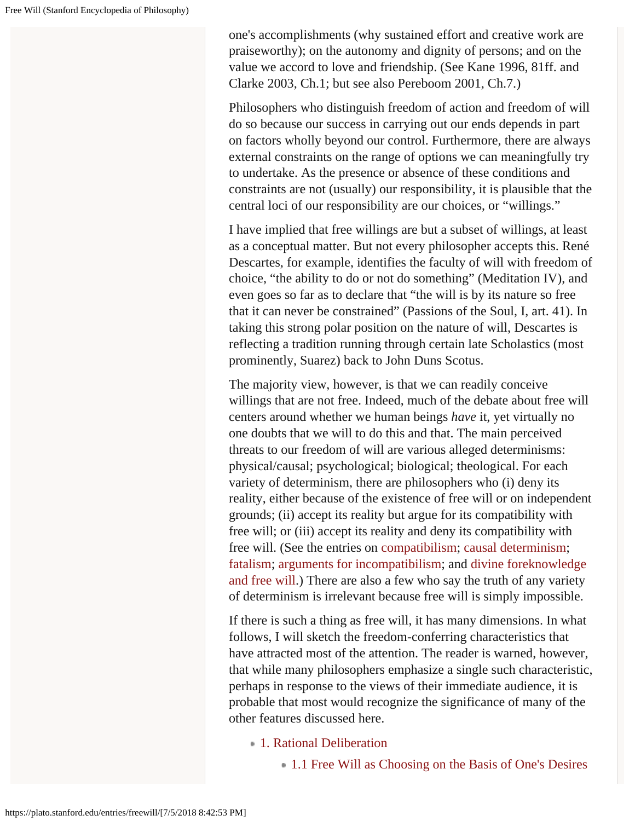one's accomplishments (why sustained effort and creative work are praiseworthy); on the autonomy and dignity of persons; and on the value we accord to love and friendship. (See Kane 1996, 81ff. and Clarke 2003, Ch.1; but see also Pereboom 2001, Ch.7.)

Philosophers who distinguish freedom of action and freedom of will do so because our success in carrying out our ends depends in part on factors wholly beyond our control. Furthermore, there are always external constraints on the range of options we can meaningfully try to undertake. As the presence or absence of these conditions and constraints are not (usually) our responsibility, it is plausible that the central loci of our responsibility are our choices, or "willings."

I have implied that free willings are but a subset of willings, at least as a conceptual matter. But not every philosopher accepts this. René Descartes, for example, identifies the faculty of will with freedom of choice, "the ability to do or not do something" (Meditation IV), and even goes so far as to declare that "the will is by its nature so free that it can never be constrained" (Passions of the Soul, I, art. 41). In taking this strong polar position on the nature of will, Descartes is reflecting a tradition running through certain late Scholastics (most prominently, Suarez) back to John Duns Scotus.

The majority view, however, is that we can readily conceive willings that are not free. Indeed, much of the debate about free will centers around whether we human beings *have* it, yet virtually no one doubts that we will to do this and that. The main perceived threats to our freedom of will are various alleged determinisms: physical/causal; psychological; biological; theological. For each variety of determinism, there are philosophers who (i) deny its reality, either because of the existence of free will or on independent grounds; (ii) accept its reality but argue for its compatibility with free will; or (iii) accept its reality and deny its compatibility with free will. (See the entries on [compatibilism](https://plato.stanford.edu/entries/compatibilism/); [causal determinism](https://plato.stanford.edu/entries/determinism-causal/); [fatalism;](https://plato.stanford.edu/entries/fatalism/) [arguments for incompatibilism](https://plato.stanford.edu/entries/incompatibilism-arguments/); and [divine foreknowledge](https://plato.stanford.edu/entries/free-will-foreknowledge/) [and free will](https://plato.stanford.edu/entries/free-will-foreknowledge/).) There are also a few who say the truth of any variety of determinism is irrelevant because free will is simply impossible.

If there is such a thing as free will, it has many dimensions. In what follows, I will sketch the freedom-conferring characteristics that have attracted most of the attention. The reader is warned, however, that while many philosophers emphasize a single such characteristic, perhaps in response to the views of their immediate audience, it is probable that most would recognize the significance of many of the other features discussed here.

- [1. Rational Deliberation](#page-2-1)
	- [1.1 Free Will as Choosing on the Basis of One's Desires](#page-2-2)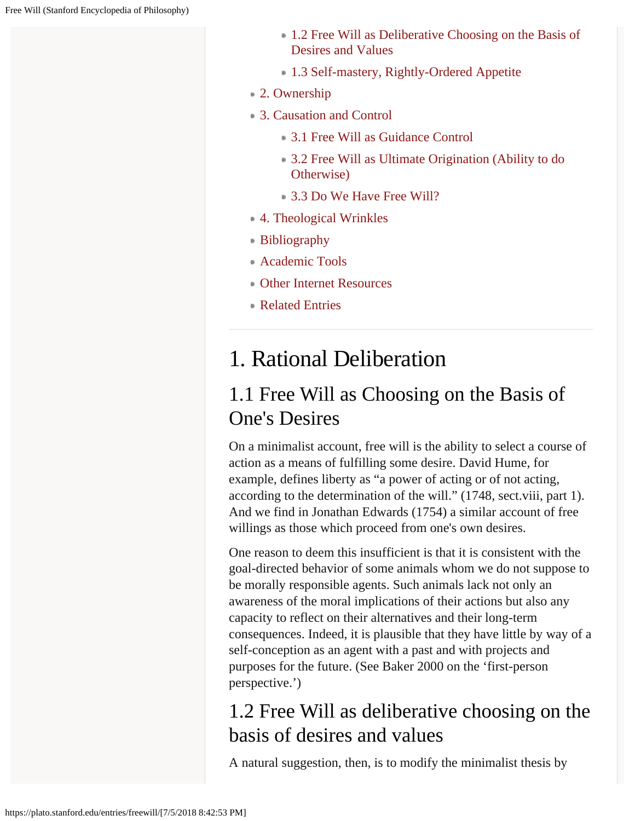- [1.2 Free Will as Deliberative Choosing on the Basis of](#page-2-3) [Desires and Values](#page-2-3)
- [1.3 Self-mastery, Rightly-Ordered Appetite](#page-4-0)
- <span id="page-2-0"></span>[2. Ownership](#page-5-0)
- [3. Causation and Control](#page-6-0)
	- [3.1 Free Will as Guidance Control](#page-7-0)
	- [3.2 Free Will as Ultimate Origination \(Ability to do](#page-7-1) [Otherwise\)](#page-7-1)
	- [3.3 Do We Have Free Will?](#page-11-0)
- [4. Theological Wrinkles](#page-12-0)
- [Bibliography](#page-15-0)
- [Academic Tools](#page-22-0)
- [Other Internet Resources](#page-22-1)
- [Related Entries](#page-23-1)

#### <span id="page-2-1"></span>1. Rational Deliberation

#### <span id="page-2-2"></span>1.1 Free Will as Choosing on the Basis of One's Desires

On a minimalist account, free will is the ability to select a course of action as a means of fulfilling some desire. David Hume, for example, defines liberty as "a power of acting or of not acting, according to the determination of the will." (1748, sect.viii, part 1). And we find in Jonathan Edwards (1754) a similar account of free willings as those which proceed from one's own desires.

One reason to deem this insufficient is that it is consistent with the goal-directed behavior of some animals whom we do not suppose to be morally responsible agents. Such animals lack not only an awareness of the moral implications of their actions but also any capacity to reflect on their alternatives and their long-term consequences. Indeed, it is plausible that they have little by way of a self-conception as an agent with a past and with projects and purposes for the future. (See Baker 2000 on the 'first-person perspective.')

#### <span id="page-2-3"></span>1.2 Free Will as deliberative choosing on the basis of desires and values

A natural suggestion, then, is to modify the minimalist thesis by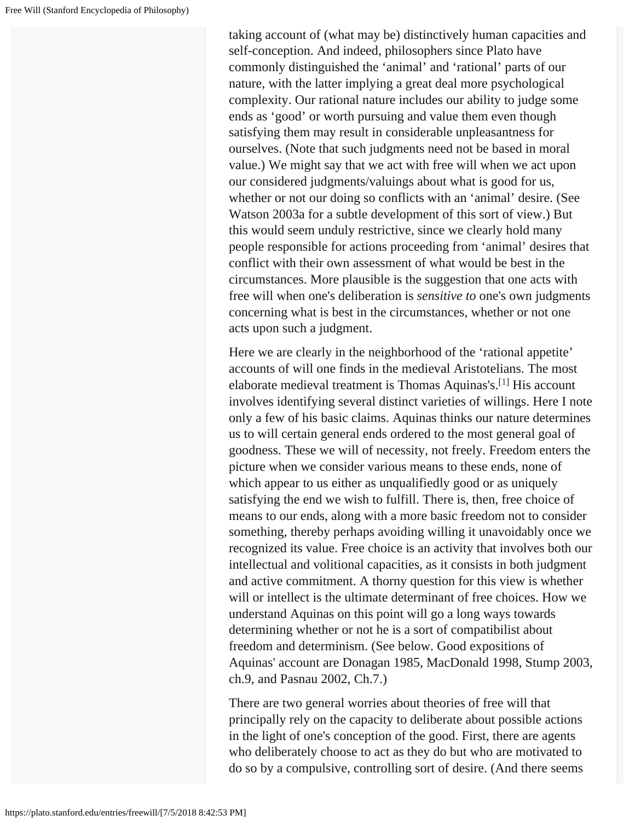taking account of (what may be) distinctively human capacities and self-conception. And indeed, philosophers since Plato have commonly distinguished the 'animal' and 'rational' parts of our nature, with the latter implying a great deal more psychological complexity. Our rational nature includes our ability to judge some ends as 'good' or worth pursuing and value them even though satisfying them may result in considerable unpleasantness for ourselves. (Note that such judgments need not be based in moral value.) We might say that we act with free will when we act upon our considered judgments/valuings about what is good for us, whether or not our doing so conflicts with an 'animal' desire. (See Watson 2003a for a subtle development of this sort of view.) But this would seem unduly restrictive, since we clearly hold many people responsible for actions proceeding from 'animal' desires that conflict with their own assessment of what would be best in the circumstances. More plausible is the suggestion that one acts with free will when one's deliberation is *sensitive to* one's own judgments concerning what is best in the circumstances, whether or not one acts upon such a judgment.

Here we are clearly in the neighborhood of the 'rational appetite' accounts of will one finds in the medieval Aristotelians. The most elaborate medieval treatment is Thomas Aquinas's.<sup>[\[1](https://plato.stanford.edu/entries/freewill/notes.html#1)]</sup> His account involves identifying several distinct varieties of willings. Here I note only a few of his basic claims. Aquinas thinks our nature determines us to will certain general ends ordered to the most general goal of goodness. These we will of necessity, not freely. Freedom enters the picture when we consider various means to these ends, none of which appear to us either as unqualifiedly good or as uniquely satisfying the end we wish to fulfill. There is, then, free choice of means to our ends, along with a more basic freedom not to consider something, thereby perhaps avoiding willing it unavoidably once we recognized its value. Free choice is an activity that involves both our intellectual and volitional capacities, as it consists in both judgment and active commitment. A thorny question for this view is whether will or intellect is the ultimate determinant of free choices. How we understand Aquinas on this point will go a long ways towards determining whether or not he is a sort of compatibilist about freedom and determinism. (See below. Good expositions of Aquinas' account are Donagan 1985, MacDonald 1998, Stump 2003, ch.9, and Pasnau 2002, Ch.7.)

There are two general worries about theories of free will that principally rely on the capacity to deliberate about possible actions in the light of one's conception of the good. First, there are agents who deliberately choose to act as they do but who are motivated to do so by a compulsive, controlling sort of desire. (And there seems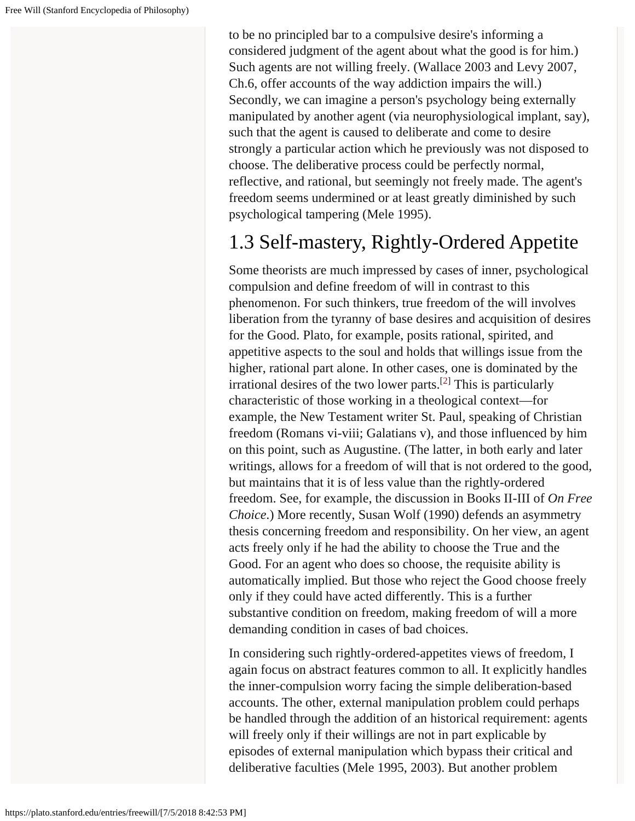to be no principled bar to a compulsive desire's informing a considered judgment of the agent about what the good is for him.) Such agents are not willing freely. (Wallace 2003 and Levy 2007, Ch.6, offer accounts of the way addiction impairs the will.) Secondly, we can imagine a person's psychology being externally manipulated by another agent (via neurophysiological implant, say), such that the agent is caused to deliberate and come to desire strongly a particular action which he previously was not disposed to choose. The deliberative process could be perfectly normal, reflective, and rational, but seemingly not freely made. The agent's freedom seems undermined or at least greatly diminished by such psychological tampering (Mele 1995).

#### <span id="page-4-0"></span>1.3 Self-mastery, Rightly-Ordered Appetite

Some theorists are much impressed by cases of inner, psychological compulsion and define freedom of will in contrast to this phenomenon. For such thinkers, true freedom of the will involves liberation from the tyranny of base desires and acquisition of desires for the Good. Plato, for example, posits rational, spirited, and appetitive aspects to the soul and holds that willings issue from the higher, rational part alone. In other cases, one is dominated by the irrational desires of the two lower parts.<sup>[\[2\]](https://plato.stanford.edu/entries/freewill/notes.html#2)</sup> This is particularly characteristic of those working in a theological context—for example, the New Testament writer St. Paul, speaking of Christian freedom (Romans vi-viii; Galatians v), and those influenced by him on this point, such as Augustine. (The latter, in both early and later writings, allows for a freedom of will that is not ordered to the good, but maintains that it is of less value than the rightly-ordered freedom. See, for example, the discussion in Books II-III of *On Free Choice*.) More recently, Susan Wolf (1990) defends an asymmetry thesis concerning freedom and responsibility. On her view, an agent acts freely only if he had the ability to choose the True and the Good. For an agent who does so choose, the requisite ability is automatically implied. But those who reject the Good choose freely only if they could have acted differently. This is a further substantive condition on freedom, making freedom of will a more demanding condition in cases of bad choices.

In considering such rightly-ordered-appetites views of freedom, I again focus on abstract features common to all. It explicitly handles the inner-compulsion worry facing the simple deliberation-based accounts. The other, external manipulation problem could perhaps be handled through the addition of an historical requirement: agents will freely only if their willings are not in part explicable by episodes of external manipulation which bypass their critical and deliberative faculties (Mele 1995, 2003). But another problem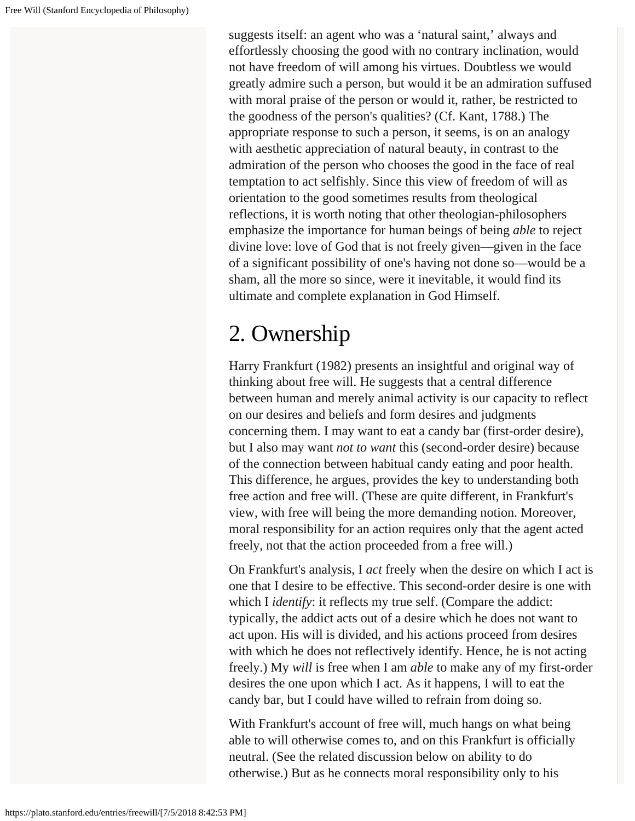suggests itself: an agent who was a 'natural saint,' always and effortlessly choosing the good with no contrary inclination, would not have freedom of will among his virtues. Doubtless we would greatly admire such a person, but would it be an admiration suffused with moral praise of the person or would it, rather, be restricted to the goodness of the person's qualities? (Cf. Kant, 1788.) The appropriate response to such a person, it seems, is on an analogy with aesthetic appreciation of natural beauty, in contrast to the admiration of the person who chooses the good in the face of real temptation to act selfishly. Since this view of freedom of will as orientation to the good sometimes results from theological reflections, it is worth noting that other theologian-philosophers emphasize the importance for human beings of being *able* to reject divine love: love of God that is not freely given—given in the face of a significant possibility of one's having not done so—would be a sham, all the more so since, were it inevitable, it would find its ultimate and complete explanation in God Himself.

#### <span id="page-5-0"></span>2. Ownership

Harry Frankfurt (1982) presents an insightful and original way of thinking about free will. He suggests that a central difference between human and merely animal activity is our capacity to reflect on our desires and beliefs and form desires and judgments concerning them. I may want to eat a candy bar (first-order desire), but I also may want *not to want* this (second-order desire) because of the connection between habitual candy eating and poor health. This difference, he argues, provides the key to understanding both free action and free will. (These are quite different, in Frankfurt's view, with free will being the more demanding notion. Moreover, moral responsibility for an action requires only that the agent acted freely, not that the action proceeded from a free will.)

On Frankfurt's analysis, I *act* freely when the desire on which I act is one that I desire to be effective. This second-order desire is one with which I *identify*: it reflects my true self. (Compare the addict: typically, the addict acts out of a desire which he does not want to act upon. His will is divided, and his actions proceed from desires with which he does not reflectively identify. Hence, he is not acting freely.) My *will* is free when I am *able* to make any of my first-order desires the one upon which I act. As it happens, I will to eat the candy bar, but I could have willed to refrain from doing so.

With Frankfurt's account of free will, much hangs on what being able to will otherwise comes to, and on this Frankfurt is officially neutral. (See the related discussion below on ability to do otherwise.) But as he connects moral responsibility only to his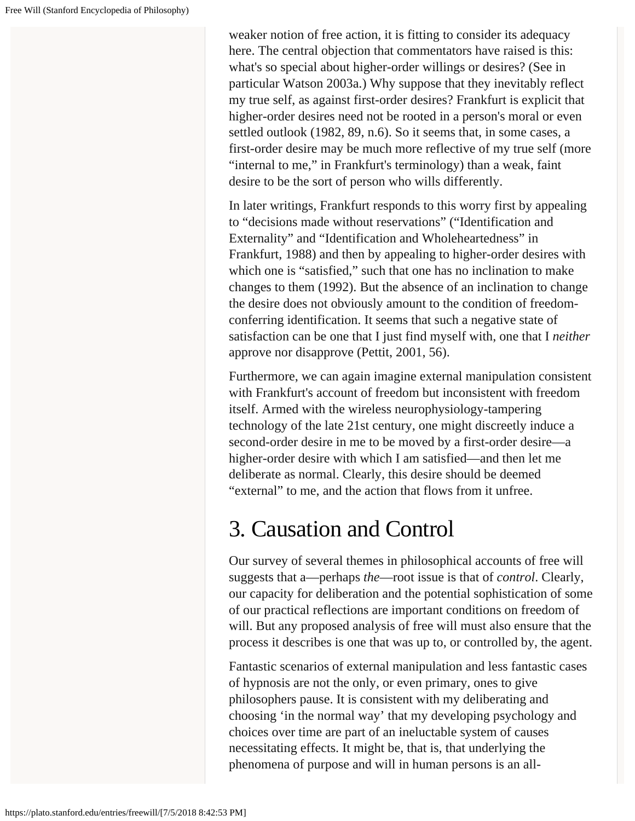weaker notion of free action, it is fitting to consider its adequacy here. The central objection that commentators have raised is this: what's so special about higher-order willings or desires? (See in particular Watson 2003a.) Why suppose that they inevitably reflect my true self, as against first-order desires? Frankfurt is explicit that higher-order desires need not be rooted in a person's moral or even settled outlook (1982, 89, n.6). So it seems that, in some cases, a first-order desire may be much more reflective of my true self (more "internal to me," in Frankfurt's terminology) than a weak, faint desire to be the sort of person who wills differently.

In later writings, Frankfurt responds to this worry first by appealing to "decisions made without reservations" ("Identification and Externality" and "Identification and Wholeheartedness" in Frankfurt, 1988) and then by appealing to higher-order desires with which one is "satisfied," such that one has no inclination to make changes to them (1992). But the absence of an inclination to change the desire does not obviously amount to the condition of freedomconferring identification. It seems that such a negative state of satisfaction can be one that I just find myself with, one that I *neither* approve nor disapprove (Pettit, 2001, 56).

Furthermore, we can again imagine external manipulation consistent with Frankfurt's account of freedom but inconsistent with freedom itself. Armed with the wireless neurophysiology-tampering technology of the late 21st century, one might discreetly induce a second-order desire in me to be moved by a first-order desire—a higher-order desire with which I am satisfied—and then let me deliberate as normal. Clearly, this desire should be deemed "external" to me, and the action that flows from it unfree.

### <span id="page-6-0"></span>3. Causation and Control

Our survey of several themes in philosophical accounts of free will suggests that a—perhaps *the*—root issue is that of *control*. Clearly, our capacity for deliberation and the potential sophistication of some of our practical reflections are important conditions on freedom of will. But any proposed analysis of free will must also ensure that the process it describes is one that was up to, or controlled by, the agent.

Fantastic scenarios of external manipulation and less fantastic cases of hypnosis are not the only, or even primary, ones to give philosophers pause. It is consistent with my deliberating and choosing 'in the normal way' that my developing psychology and choices over time are part of an ineluctable system of causes necessitating effects. It might be, that is, that underlying the phenomena of purpose and will in human persons is an all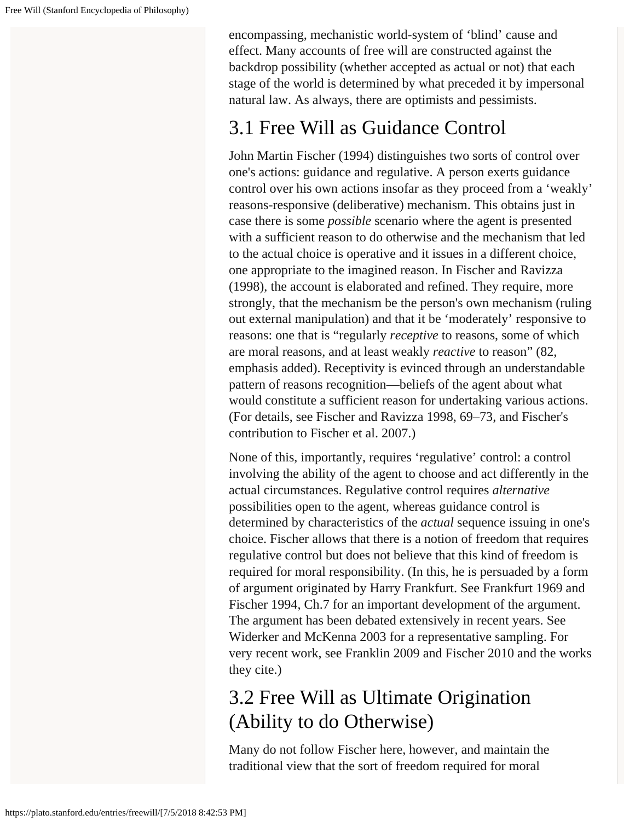encompassing, mechanistic world-system of 'blind' cause and effect. Many accounts of free will are constructed against the backdrop possibility (whether accepted as actual or not) that each stage of the world is determined by what preceded it by impersonal natural law. As always, there are optimists and pessimists.

#### <span id="page-7-0"></span>3.1 Free Will as Guidance Control

John Martin Fischer (1994) distinguishes two sorts of control over one's actions: guidance and regulative. A person exerts guidance control over his own actions insofar as they proceed from a 'weakly' reasons-responsive (deliberative) mechanism. This obtains just in case there is some *possible* scenario where the agent is presented with a sufficient reason to do otherwise and the mechanism that led to the actual choice is operative and it issues in a different choice, one appropriate to the imagined reason. In Fischer and Ravizza (1998), the account is elaborated and refined. They require, more strongly, that the mechanism be the person's own mechanism (ruling out external manipulation) and that it be 'moderately' responsive to reasons: one that is "regularly *receptive* to reasons, some of which are moral reasons, and at least weakly *reactive* to reason" (82, emphasis added). Receptivity is evinced through an understandable pattern of reasons recognition—beliefs of the agent about what would constitute a sufficient reason for undertaking various actions. (For details, see Fischer and Ravizza 1998, 69–73, and Fischer's contribution to Fischer et al. 2007.)

None of this, importantly, requires 'regulative' control: a control involving the ability of the agent to choose and act differently in the actual circumstances. Regulative control requires *alternative* possibilities open to the agent, whereas guidance control is determined by characteristics of the *actual* sequence issuing in one's choice. Fischer allows that there is a notion of freedom that requires regulative control but does not believe that this kind of freedom is required for moral responsibility. (In this, he is persuaded by a form of argument originated by Harry Frankfurt. See Frankfurt 1969 and Fischer 1994, Ch.7 for an important development of the argument. The argument has been debated extensively in recent years. See Widerker and McKenna 2003 for a representative sampling. For very recent work, see Franklin 2009 and Fischer 2010 and the works they cite.)

#### <span id="page-7-1"></span>3.2 Free Will as Ultimate Origination (Ability to do Otherwise)

Many do not follow Fischer here, however, and maintain the traditional view that the sort of freedom required for moral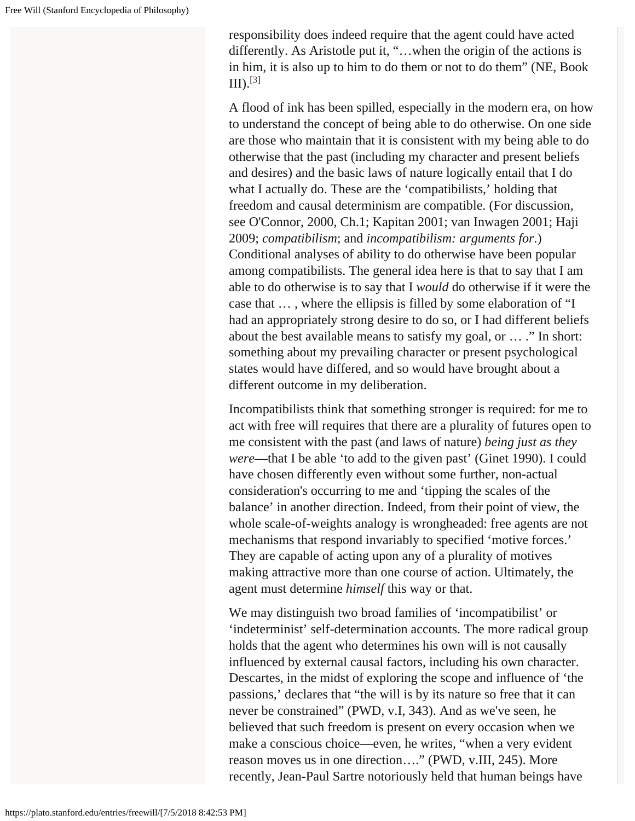responsibility does indeed require that the agent could have acted differently. As Aristotle put it, "…when the origin of the actions is in him, it is also up to him to do them or not to do them" (NE, Book  $\rm{III}).^{[3]}$  $\rm{III}).^{[3]}$  $\rm{III}).^{[3]}$ 

A flood of ink has been spilled, especially in the modern era, on how to understand the concept of being able to do otherwise. On one side are those who maintain that it is consistent with my being able to do otherwise that the past (including my character and present beliefs and desires) and the basic laws of nature logically entail that I do what I actually do. These are the 'compatibilists,' holding that freedom and causal determinism are compatible. (For discussion, see O'Connor, 2000, Ch.1; Kapitan 2001; van Inwagen 2001; Haji 2009; *compatibilism*; and *incompatibilism: arguments for*.) Conditional analyses of ability to do otherwise have been popular among compatibilists. The general idea here is that to say that I am able to do otherwise is to say that I *would* do otherwise if it were the case that … , where the ellipsis is filled by some elaboration of "I had an appropriately strong desire to do so, or I had different beliefs about the best available means to satisfy my goal, or … ." In short: something about my prevailing character or present psychological states would have differed, and so would have brought about a different outcome in my deliberation.

Incompatibilists think that something stronger is required: for me to act with free will requires that there are a plurality of futures open to me consistent with the past (and laws of nature) *being just as they were*—that I be able 'to add to the given past' (Ginet 1990). I could have chosen differently even without some further, non-actual consideration's occurring to me and 'tipping the scales of the balance' in another direction. Indeed, from their point of view, the whole scale-of-weights analogy is wrongheaded: free agents are not mechanisms that respond invariably to specified 'motive forces.' They are capable of acting upon any of a plurality of motives making attractive more than one course of action. Ultimately, the agent must determine *himself* this way or that.

We may distinguish two broad families of 'incompatibilist' or 'indeterminist' self-determination accounts. The more radical group holds that the agent who determines his own will is not causally influenced by external causal factors, including his own character. Descartes, in the midst of exploring the scope and influence of 'the passions,' declares that "the will is by its nature so free that it can never be constrained" (PWD, v.I, 343). And as we've seen, he believed that such freedom is present on every occasion when we make a conscious choice—even, he writes, "when a very evident reason moves us in one direction…." (PWD, v.III, 245). More recently, Jean-Paul Sartre notoriously held that human beings have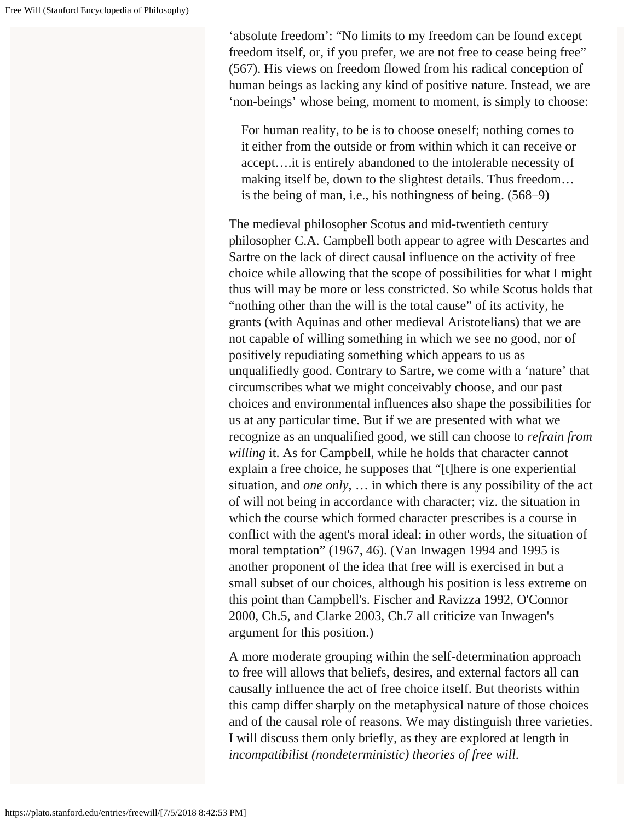'absolute freedom': "No limits to my freedom can be found except freedom itself, or, if you prefer, we are not free to cease being free" (567). His views on freedom flowed from his radical conception of human beings as lacking any kind of positive nature. Instead, we are 'non-beings' whose being, moment to moment, is simply to choose:

For human reality, to be is to choose oneself; nothing comes to it either from the outside or from within which it can receive or accept….it is entirely abandoned to the intolerable necessity of making itself be, down to the slightest details. Thus freedom… is the being of man, i.e., his nothingness of being. (568–9)

The medieval philosopher Scotus and mid-twentieth century philosopher C.A. Campbell both appear to agree with Descartes and Sartre on the lack of direct causal influence on the activity of free choice while allowing that the scope of possibilities for what I might thus will may be more or less constricted. So while Scotus holds that "nothing other than the will is the total cause" of its activity, he grants (with Aquinas and other medieval Aristotelians) that we are not capable of willing something in which we see no good, nor of positively repudiating something which appears to us as unqualifiedly good. Contrary to Sartre, we come with a 'nature' that circumscribes what we might conceivably choose, and our past choices and environmental influences also shape the possibilities for us at any particular time. But if we are presented with what we recognize as an unqualified good, we still can choose to *refrain from willing* it. As for Campbell, while he holds that character cannot explain a free choice, he supposes that "[t]here is one experiential situation, and *one only*, … in which there is any possibility of the act of will not being in accordance with character; viz. the situation in which the course which formed character prescribes is a course in conflict with the agent's moral ideal: in other words, the situation of moral temptation" (1967, 46). (Van Inwagen 1994 and 1995 is another proponent of the idea that free will is exercised in but a small subset of our choices, although his position is less extreme on this point than Campbell's. Fischer and Ravizza 1992, O'Connor 2000, Ch.5, and Clarke 2003, Ch.7 all criticize van Inwagen's argument for this position.)

A more moderate grouping within the self-determination approach to free will allows that beliefs, desires, and external factors all can causally influence the act of free choice itself. But theorists within this camp differ sharply on the metaphysical nature of those choices and of the causal role of reasons. We may distinguish three varieties. I will discuss them only briefly, as they are explored at length in *incompatibilist (nondeterministic) theories of free will*.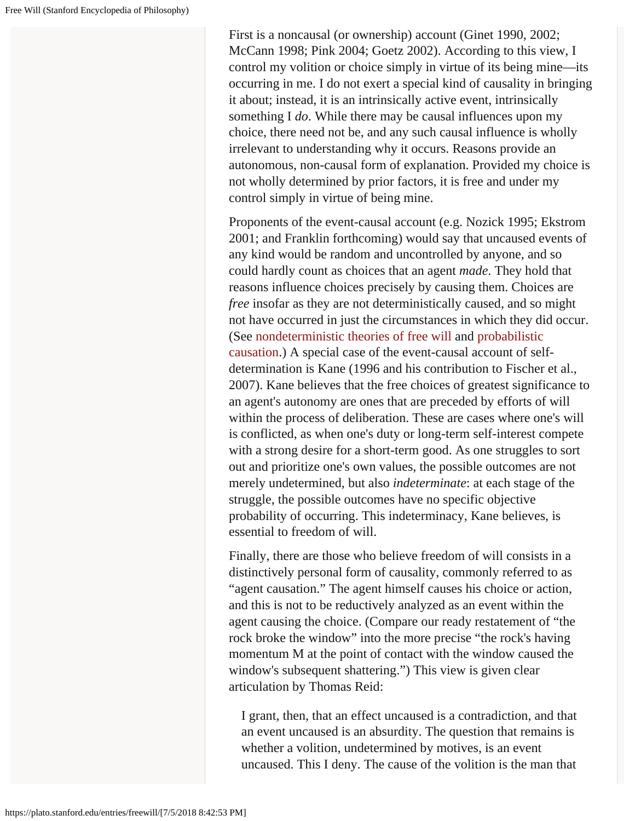First is a noncausal (or ownership) account (Ginet 1990, 2002; McCann 1998; Pink 2004; Goetz 2002). According to this view, I control my volition or choice simply in virtue of its being mine—its occurring in me. I do not exert a special kind of causality in bringing it about; instead, it is an intrinsically active event, intrinsically something I *do*. While there may be causal influences upon my choice, there need not be, and any such causal influence is wholly irrelevant to understanding why it occurs. Reasons provide an autonomous, non-causal form of explanation. Provided my choice is not wholly determined by prior factors, it is free and under my control simply in virtue of being mine.

Proponents of the event-causal account (e.g. Nozick 1995; Ekstrom 2001; and Franklin forthcoming) would say that uncaused events of any kind would be random and uncontrolled by anyone, and so could hardly count as choices that an agent *made*. They hold that reasons influence choices precisely by causing them. Choices are *free* insofar as they are not deterministically caused, and so might not have occurred in just the circumstances in which they did occur. (See [nondeterministic theories of free will](https://plato.stanford.edu/entries/incompatibilism-theories/) and [probabilistic](https://plato.stanford.edu/entries/causation-probabilistic/) [causation.](https://plato.stanford.edu/entries/causation-probabilistic/)) A special case of the event-causal account of selfdetermination is Kane (1996 and his contribution to Fischer et al., 2007). Kane believes that the free choices of greatest significance to an agent's autonomy are ones that are preceded by efforts of will within the process of deliberation. These are cases where one's will is conflicted, as when one's duty or long-term self-interest compete with a strong desire for a short-term good. As one struggles to sort out and prioritize one's own values, the possible outcomes are not merely undetermined, but also *indeterminate*: at each stage of the struggle, the possible outcomes have no specific objective probability of occurring. This indeterminacy, Kane believes, is essential to freedom of will.

Finally, there are those who believe freedom of will consists in a distinctively personal form of causality, commonly referred to as "agent causation." The agent himself causes his choice or action, and this is not to be reductively analyzed as an event within the agent causing the choice. (Compare our ready restatement of "the rock broke the window" into the more precise "the rock's having momentum M at the point of contact with the window caused the window's subsequent shattering.") This view is given clear articulation by Thomas Reid:

I grant, then, that an effect uncaused is a contradiction, and that an event uncaused is an absurdity. The question that remains is whether a volition, undetermined by motives, is an event uncaused. This I deny. The cause of the volition is the man that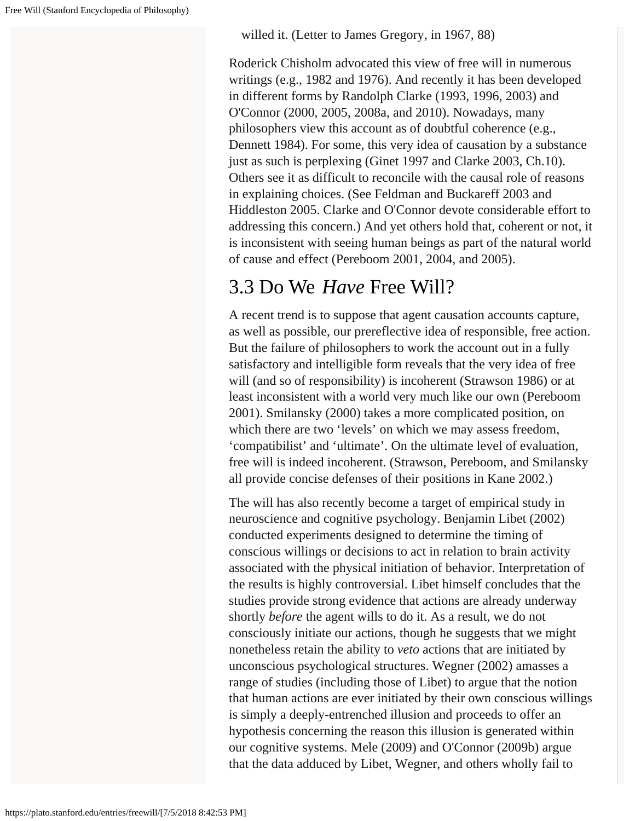willed it. (Letter to James Gregory, in 1967, 88)

Roderick Chisholm advocated this view of free will in numerous writings (e.g., 1982 and 1976). And recently it has been developed in different forms by Randolph Clarke (1993, 1996, 2003) and O'Connor (2000, 2005, 2008a, and 2010). Nowadays, many philosophers view this account as of doubtful coherence (e.g., Dennett 1984). For some, this very idea of causation by a substance just as such is perplexing (Ginet 1997 and Clarke 2003, Ch.10). Others see it as difficult to reconcile with the causal role of reasons in explaining choices. (See Feldman and Buckareff 2003 and Hiddleston 2005. Clarke and O'Connor devote considerable effort to addressing this concern.) And yet others hold that, coherent or not, it is inconsistent with seeing human beings as part of the natural world of cause and effect (Pereboom 2001, 2004, and 2005).

#### <span id="page-11-0"></span>3.3 Do We *Have* Free Will?

A recent trend is to suppose that agent causation accounts capture, as well as possible, our prereflective idea of responsible, free action. But the failure of philosophers to work the account out in a fully satisfactory and intelligible form reveals that the very idea of free will (and so of responsibility) is incoherent (Strawson 1986) or at least inconsistent with a world very much like our own (Pereboom 2001). Smilansky (2000) takes a more complicated position, on which there are two 'levels' on which we may assess freedom, 'compatibilist' and 'ultimate'. On the ultimate level of evaluation, free will is indeed incoherent. (Strawson, Pereboom, and Smilansky all provide concise defenses of their positions in Kane 2002.)

The will has also recently become a target of empirical study in neuroscience and cognitive psychology. Benjamin Libet (2002) conducted experiments designed to determine the timing of conscious willings or decisions to act in relation to brain activity associated with the physical initiation of behavior. Interpretation of the results is highly controversial. Libet himself concludes that the studies provide strong evidence that actions are already underway shortly *before* the agent wills to do it. As a result, we do not consciously initiate our actions, though he suggests that we might nonetheless retain the ability to *veto* actions that are initiated by unconscious psychological structures. Wegner (2002) amasses a range of studies (including those of Libet) to argue that the notion that human actions are ever initiated by their own conscious willings is simply a deeply-entrenched illusion and proceeds to offer an hypothesis concerning the reason this illusion is generated within our cognitive systems. Mele (2009) and O'Connor (2009b) argue that the data adduced by Libet, Wegner, and others wholly fail to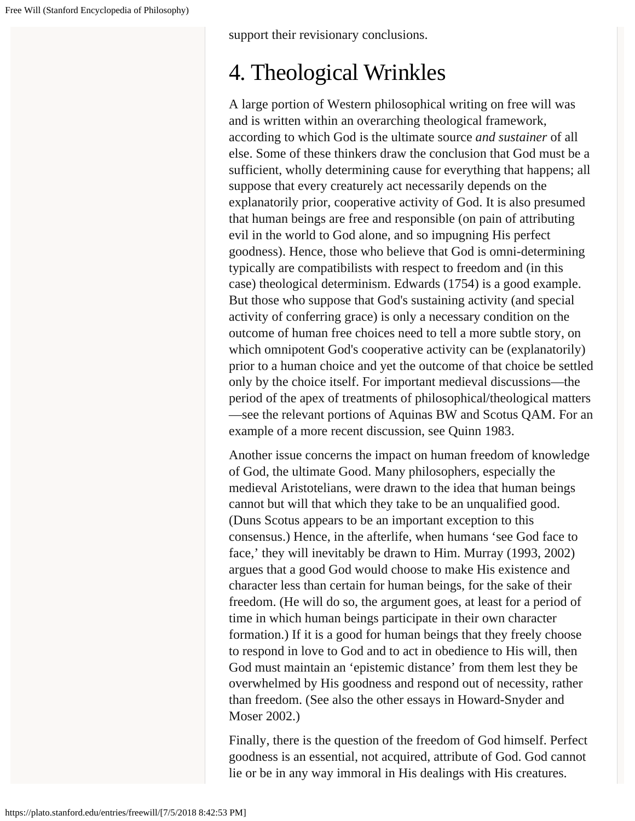support their revisionary conclusions.

### <span id="page-12-0"></span>4. Theological Wrinkles

A large portion of Western philosophical writing on free will was and is written within an overarching theological framework, according to which God is the ultimate source *and sustainer* of all else. Some of these thinkers draw the conclusion that God must be a sufficient, wholly determining cause for everything that happens; all suppose that every creaturely act necessarily depends on the explanatorily prior, cooperative activity of God. It is also presumed that human beings are free and responsible (on pain of attributing evil in the world to God alone, and so impugning His perfect goodness). Hence, those who believe that God is omni-determining typically are compatibilists with respect to freedom and (in this case) theological determinism. Edwards (1754) is a good example. But those who suppose that God's sustaining activity (and special activity of conferring grace) is only a necessary condition on the outcome of human free choices need to tell a more subtle story, on which omnipotent God's cooperative activity can be (explanatorily) prior to a human choice and yet the outcome of that choice be settled only by the choice itself. For important medieval discussions—the period of the apex of treatments of philosophical/theological matters —see the relevant portions of Aquinas BW and Scotus QAM. For an example of a more recent discussion, see Quinn 1983.

Another issue concerns the impact on human freedom of knowledge of God, the ultimate Good. Many philosophers, especially the medieval Aristotelians, were drawn to the idea that human beings cannot but will that which they take to be an unqualified good. (Duns Scotus appears to be an important exception to this consensus.) Hence, in the afterlife, when humans 'see God face to face,' they will inevitably be drawn to Him. Murray (1993, 2002) argues that a good God would choose to make His existence and character less than certain for human beings, for the sake of their freedom. (He will do so, the argument goes, at least for a period of time in which human beings participate in their own character formation.) If it is a good for human beings that they freely choose to respond in love to God and to act in obedience to His will, then God must maintain an 'epistemic distance' from them lest they be overwhelmed by His goodness and respond out of necessity, rather than freedom. (See also the other essays in Howard-Snyder and Moser 2002.)

Finally, there is the question of the freedom of God himself. Perfect goodness is an essential, not acquired, attribute of God. God cannot lie or be in any way immoral in His dealings with His creatures.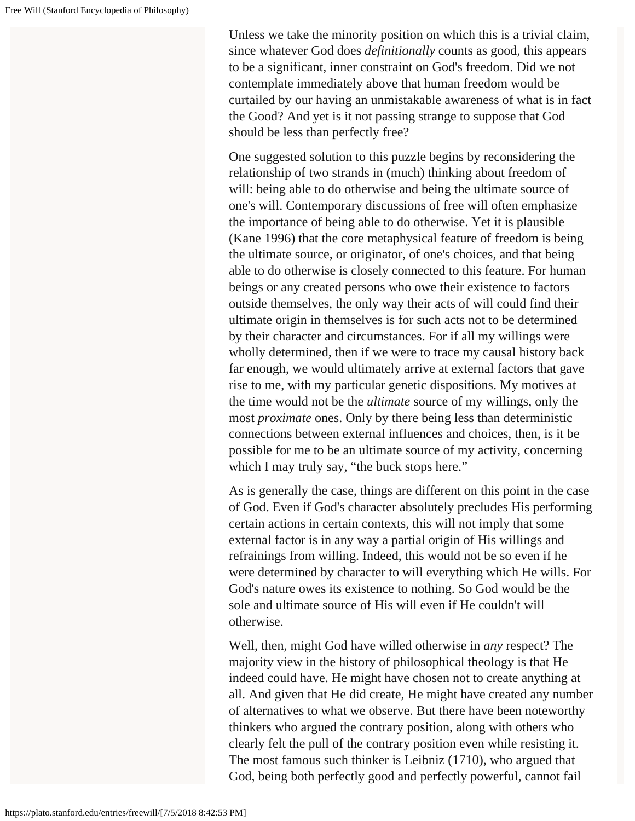Unless we take the minority position on which this is a trivial claim, since whatever God does *definitionally* counts as good, this appears to be a significant, inner constraint on God's freedom. Did we not contemplate immediately above that human freedom would be curtailed by our having an unmistakable awareness of what is in fact the Good? And yet is it not passing strange to suppose that God should be less than perfectly free?

One suggested solution to this puzzle begins by reconsidering the relationship of two strands in (much) thinking about freedom of will: being able to do otherwise and being the ultimate source of one's will. Contemporary discussions of free will often emphasize the importance of being able to do otherwise. Yet it is plausible (Kane 1996) that the core metaphysical feature of freedom is being the ultimate source, or originator, of one's choices, and that being able to do otherwise is closely connected to this feature. For human beings or any created persons who owe their existence to factors outside themselves, the only way their acts of will could find their ultimate origin in themselves is for such acts not to be determined by their character and circumstances. For if all my willings were wholly determined, then if we were to trace my causal history back far enough, we would ultimately arrive at external factors that gave rise to me, with my particular genetic dispositions. My motives at the time would not be the *ultimate* source of my willings, only the most *proximate* ones. Only by there being less than deterministic connections between external influences and choices, then, is it be possible for me to be an ultimate source of my activity, concerning which I may truly say, "the buck stops here."

As is generally the case, things are different on this point in the case of God. Even if God's character absolutely precludes His performing certain actions in certain contexts, this will not imply that some external factor is in any way a partial origin of His willings and refrainings from willing. Indeed, this would not be so even if he were determined by character to will everything which He wills. For God's nature owes its existence to nothing. So God would be the sole and ultimate source of His will even if He couldn't will otherwise.

Well, then, might God have willed otherwise in *any* respect? The majority view in the history of philosophical theology is that He indeed could have. He might have chosen not to create anything at all. And given that He did create, He might have created any number of alternatives to what we observe. But there have been noteworthy thinkers who argued the contrary position, along with others who clearly felt the pull of the contrary position even while resisting it. The most famous such thinker is Leibniz (1710), who argued that God, being both perfectly good and perfectly powerful, cannot fail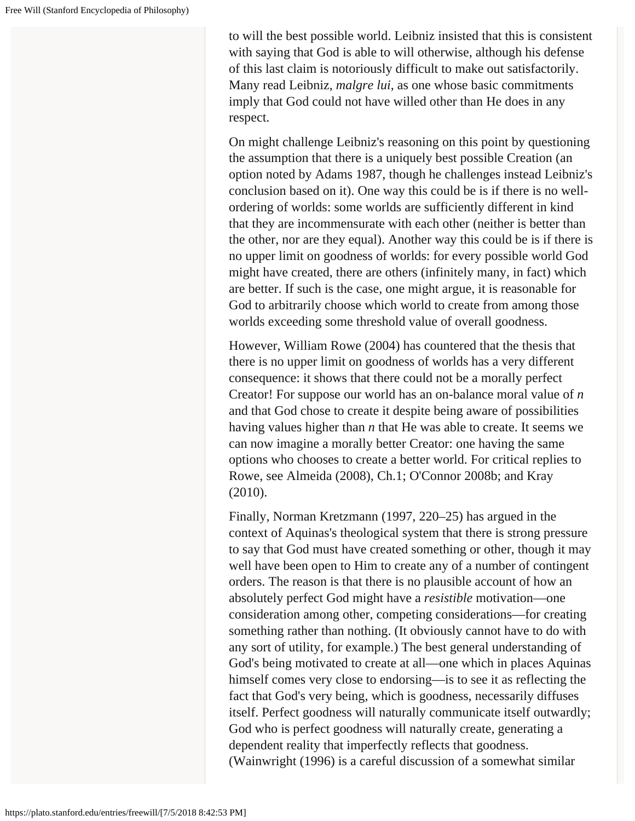to will the best possible world. Leibniz insisted that this is consistent with saying that God is able to will otherwise, although his defense of this last claim is notoriously difficult to make out satisfactorily. Many read Leibniz, *malgre lui*, as one whose basic commitments imply that God could not have willed other than He does in any respect.

On might challenge Leibniz's reasoning on this point by questioning the assumption that there is a uniquely best possible Creation (an option noted by Adams 1987, though he challenges instead Leibniz's conclusion based on it). One way this could be is if there is no wellordering of worlds: some worlds are sufficiently different in kind that they are incommensurate with each other (neither is better than the other, nor are they equal). Another way this could be is if there is no upper limit on goodness of worlds: for every possible world God might have created, there are others (infinitely many, in fact) which are better. If such is the case, one might argue, it is reasonable for God to arbitrarily choose which world to create from among those worlds exceeding some threshold value of overall goodness.

However, William Rowe (2004) has countered that the thesis that there is no upper limit on goodness of worlds has a very different consequence: it shows that there could not be a morally perfect Creator! For suppose our world has an on-balance moral value of *n* and that God chose to create it despite being aware of possibilities having values higher than *n* that He was able to create. It seems we can now imagine a morally better Creator: one having the same options who chooses to create a better world. For critical replies to Rowe, see Almeida (2008), Ch.1; O'Connor 2008b; and Kray (2010).

Finally, Norman Kretzmann (1997, 220–25) has argued in the context of Aquinas's theological system that there is strong pressure to say that God must have created something or other, though it may well have been open to Him to create any of a number of contingent orders. The reason is that there is no plausible account of how an absolutely perfect God might have a *resistible* motivation—one consideration among other, competing considerations—for creating something rather than nothing. (It obviously cannot have to do with any sort of utility, for example.) The best general understanding of God's being motivated to create at all—one which in places Aquinas himself comes very close to endorsing—is to see it as reflecting the fact that God's very being, which is goodness, necessarily diffuses itself. Perfect goodness will naturally communicate itself outwardly; God who is perfect goodness will naturally create, generating a dependent reality that imperfectly reflects that goodness. (Wainwright (1996) is a careful discussion of a somewhat similar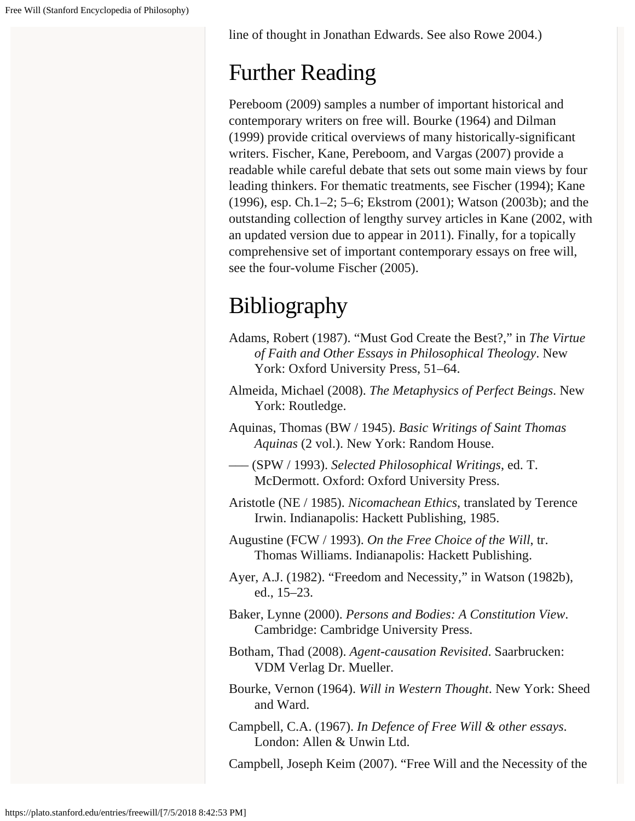line of thought in Jonathan Edwards. See also Rowe 2004.)

#### Further Reading

Pereboom (2009) samples a number of important historical and contemporary writers on free will. Bourke (1964) and Dilman (1999) provide critical overviews of many historically-significant writers. Fischer, Kane, Pereboom, and Vargas (2007) provide a readable while careful debate that sets out some main views by four leading thinkers. For thematic treatments, see Fischer (1994); Kane (1996), esp. Ch.1–2; 5–6; Ekstrom (2001); Watson (2003b); and the outstanding collection of lengthy survey articles in Kane (2002, with an updated version due to appear in 2011). Finally, for a topically comprehensive set of important contemporary essays on free will, see the four-volume Fischer (2005).

# <span id="page-15-0"></span>**Bibliography**

- Adams, Robert (1987). "Must God Create the Best?," in *The Virtue of Faith and Other Essays in Philosophical Theology*. New York: Oxford University Press, 51–64.
- Almeida, Michael (2008). *The Metaphysics of Perfect Beings*. New York: Routledge.
- Aquinas, Thomas (BW / 1945). *Basic Writings of Saint Thomas Aquinas* (2 vol.). New York: Random House.
- ––– (SPW / 1993). *Selected Philosophical Writings*, ed. T. McDermott. Oxford: Oxford University Press.
- Aristotle (NE / 1985). *Nicomachean Ethics*, translated by Terence Irwin. Indianapolis: Hackett Publishing, 1985.
- Augustine (FCW / 1993). *On the Free Choice of the Will*, tr. Thomas Williams. Indianapolis: Hackett Publishing.
- Ayer, A.J. (1982). "Freedom and Necessity," in Watson (1982b), ed., 15–23.
- Baker, Lynne (2000). *Persons and Bodies: A Constitution View*. Cambridge: Cambridge University Press.
- Botham, Thad (2008). *Agent-causation Revisited*. Saarbrucken: VDM Verlag Dr. Mueller.
- Bourke, Vernon (1964). *Will in Western Thought*. New York: Sheed and Ward.
- Campbell, C.A. (1967). *In Defence of Free Will & other essays*. London: Allen & Unwin Ltd.

Campbell, Joseph Keim (2007). "Free Will and the Necessity of the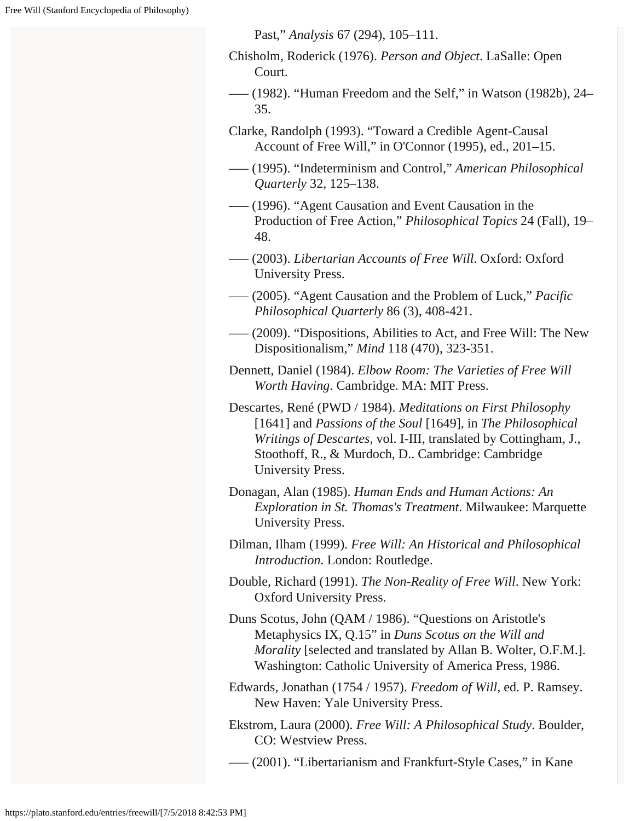Past," *Analysis* 67 (294), 105–111.

- Chisholm, Roderick (1976). *Person and Object*. LaSalle: Open Court.
- ––– (1982). "Human Freedom and the Self," in Watson (1982b), 24– 35.
- Clarke, Randolph (1993). "Toward a Credible Agent-Causal Account of Free Will," in O'Connor (1995), ed., 201–15.
- ––– (1995). "Indeterminism and Control," *American Philosophical Quarterly* 32, 125–138.
- ––– (1996). "Agent Causation and Event Causation in the Production of Free Action," *Philosophical Topics* 24 (Fall), 19– 48.
- ––– (2003). *Libertarian Accounts of Free Will*. Oxford: Oxford University Press.
- ––– (2005). "Agent Causation and the Problem of Luck," *Pacific Philosophical Quarterly* 86 (3), 408-421.
- ––– (2009). "Dispositions, Abilities to Act, and Free Will: The New Dispositionalism," *Mind* 118 (470), 323-351.
- Dennett, Daniel (1984). *Elbow Room: The Varieties of Free Will Worth Having*. Cambridge. MA: MIT Press.
- Descartes, René (PWD / 1984). *Meditations on First Philosophy* [1641] and *Passions of the Soul* [1649], in *The Philosophical Writings of Descartes*, vol. I-III, translated by Cottingham, J., Stoothoff, R., & Murdoch, D.. Cambridge: Cambridge University Press.
- Donagan, Alan (1985). *Human Ends and Human Actions: An Exploration in St. Thomas's Treatment*. Milwaukee: Marquette University Press.
- Dilman, Ilham (1999). *Free Will: An Historical and Philosophical Introduction*. London: Routledge.
- Double, Richard (1991). *The Non-Reality of Free Will*. New York: Oxford University Press.
- Duns Scotus, John (QAM / 1986). "Questions on Aristotle's Metaphysics IX, Q.15" in *Duns Scotus on the Will and Morality* [selected and translated by Allan B. Wolter, O.F.M.]. Washington: Catholic University of America Press, 1986.
- Edwards, Jonathan (1754 / 1957). *Freedom of Will*, ed. P. Ramsey. New Haven: Yale University Press.
- Ekstrom, Laura (2000). *Free Will: A Philosophical Study*. Boulder, CO: Westview Press.
- ––– (2001). "Libertarianism and Frankfurt-Style Cases," in Kane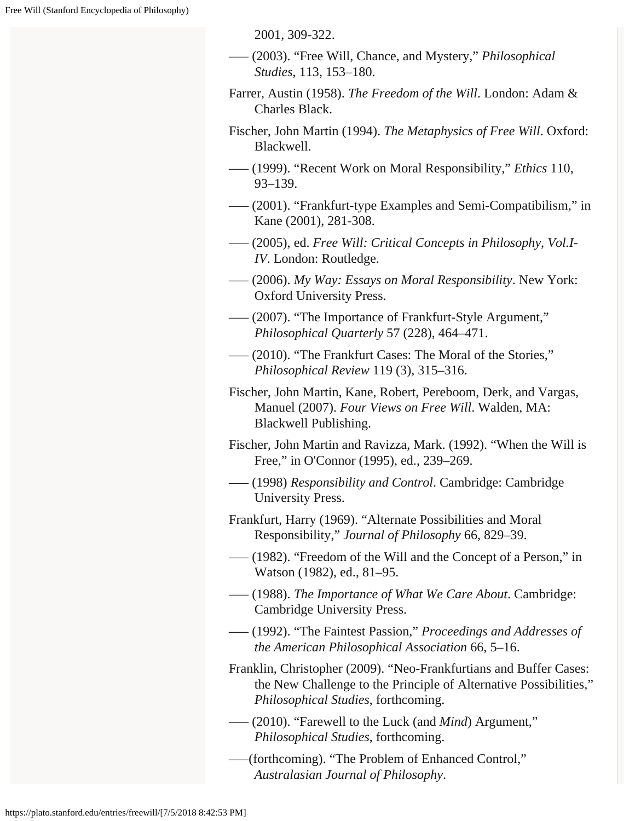2001, 309-322.

- ––– (2003). "Free Will, Chance, and Mystery," *Philosophical Studies*, 113, 153–180.
- Farrer, Austin (1958). *The Freedom of the Will*. London: Adam & Charles Black.
- Fischer, John Martin (1994). *The Metaphysics of Free Will*. Oxford: Blackwell.
- ––– (1999). "Recent Work on Moral Responsibility," *Ethics* 110, 93–139.
- ––– (2001). "Frankfurt-type Examples and Semi-Compatibilism," in Kane (2001), 281-308.
- ––– (2005), ed. *Free Will: Critical Concepts in Philosophy, Vol.I-IV*. London: Routledge.
- ––– (2006). *My Way: Essays on Moral Responsibility*. New York: Oxford University Press.
- ––– (2007). "The Importance of Frankfurt-Style Argument," *Philosophical Quarterly* 57 (228), 464–471.
- ––– (2010). "The Frankfurt Cases: The Moral of the Stories," *Philosophical Review* 119 (3), 315–316.
- Fischer, John Martin, Kane, Robert, Pereboom, Derk, and Vargas, Manuel (2007). *Four Views on Free Will*. Walden, MA: Blackwell Publishing.
- Fischer, John Martin and Ravizza, Mark. (1992). "When the Will is Free," in O'Connor (1995), ed., 239–269.
- ––– (1998) *Responsibility and Control*. Cambridge: Cambridge University Press.
- Frankfurt, Harry (1969). "Alternate Possibilities and Moral Responsibility," *Journal of Philosophy* 66, 829–39.
- ––– (1982). "Freedom of the Will and the Concept of a Person," in Watson (1982), ed., 81–95.
- ––– (1988). *The Importance of What We Care About*. Cambridge: Cambridge University Press.
- ––– (1992). "The Faintest Passion," *Proceedings and Addresses of the American Philosophical Association* 66, 5–16.
- Franklin, Christopher (2009). "Neo-Frankfurtians and Buffer Cases: the New Challenge to the Principle of Alternative Possibilities," *Philosophical Studies*, forthcoming.
- ––– (2010). "Farewell to the Luck (and *Mind*) Argument," *Philosophical Studies*, forthcoming.
- –––(forthcoming). "The Problem of Enhanced Control," *Australasian Journal of Philosophy*.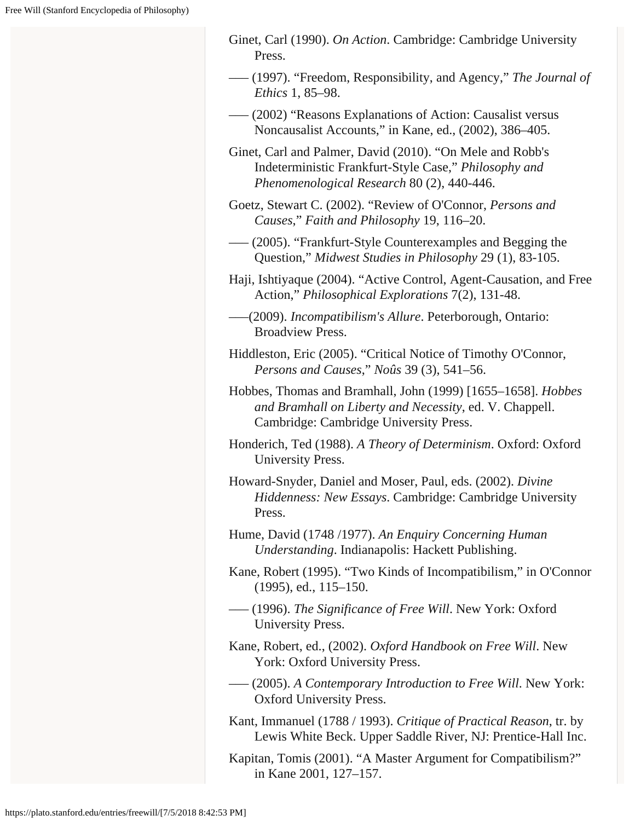- Ginet, Carl (1990). *On Action*. Cambridge: Cambridge University Press.
- ––– (1997). "Freedom, Responsibility, and Agency," *The Journal of Ethics* 1, 85–98.
- ––– (2002) "Reasons Explanations of Action: Causalist versus Noncausalist Accounts," in Kane, ed., (2002), 386–405.
- Ginet, Carl and Palmer, David (2010). "On Mele and Robb's Indeterministic Frankfurt-Style Case," *Philosophy and Phenomenological Research* 80 (2), 440-446.
- Goetz, Stewart C. (2002). "Review of O'Connor, *Persons and Causes*," *Faith and Philosophy* 19, 116–20.
- ––– (2005). "Frankfurt-Style Counterexamples and Begging the Question," *Midwest Studies in Philosophy* 29 (1), 83-105.
- Haji, Ishtiyaque (2004). "Active Control, Agent-Causation, and Free Action," *Philosophical Explorations* 7(2), 131-48.
- –––(2009). *Incompatibilism's Allure*. Peterborough, Ontario: Broadview Press.
- Hiddleston, Eric (2005). "Critical Notice of Timothy O'Connor, *Persons and Causes*," *Noûs* 39 (3), 541–56.
- Hobbes, Thomas and Bramhall, John (1999) [1655–1658]. *Hobbes and Bramhall on Liberty and Necessity*, ed. V. Chappell. Cambridge: Cambridge University Press.
- Honderich, Ted (1988). *A Theory of Determinism*. Oxford: Oxford University Press.
- Howard-Snyder, Daniel and Moser, Paul, eds. (2002). *Divine Hiddenness: New Essays*. Cambridge: Cambridge University Press.
- Hume, David (1748 /1977). *An Enquiry Concerning Human Understanding*. Indianapolis: Hackett Publishing.
- Kane, Robert (1995). "Two Kinds of Incompatibilism," in O'Connor (1995), ed., 115–150.
- ––– (1996). *The Significance of Free Will*. New York: Oxford University Press.
- Kane, Robert, ed., (2002). *Oxford Handbook on Free Will*. New York: Oxford University Press.
- ––– (2005). *A Contemporary Introduction to Free Will*. New York: Oxford University Press.
- Kant, Immanuel (1788 / 1993). *Critique of Practical Reason*, tr. by Lewis White Beck. Upper Saddle River, NJ: Prentice-Hall Inc.
- Kapitan, Tomis (2001). "A Master Argument for Compatibilism?" in Kane 2001, 127–157.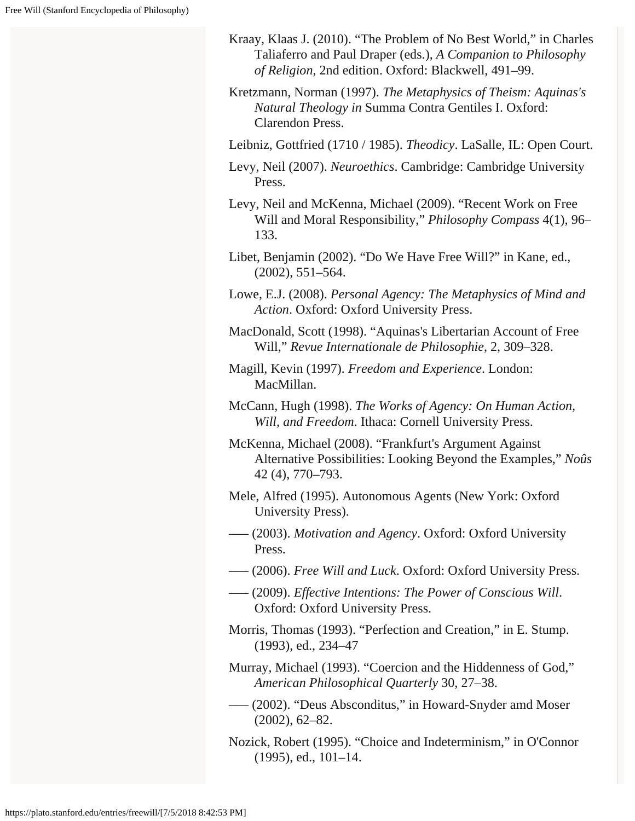- Kraay, Klaas J. (2010). "The Problem of No Best World," in Charles Taliaferro and Paul Draper (eds.), *A Companion to Philosophy of Religion*, 2nd edition. Oxford: Blackwell, 491–99.
- Kretzmann, Norman (1997). *The Metaphysics of Theism: Aquinas's Natural Theology in* Summa Contra Gentiles I. Oxford: Clarendon Press.
- Leibniz, Gottfried (1710 / 1985). *Theodicy*. LaSalle, IL: Open Court.
- Levy, Neil (2007). *Neuroethics*. Cambridge: Cambridge University Press.
- Levy, Neil and McKenna, Michael (2009). "Recent Work on Free Will and Moral Responsibility," *Philosophy Compass* 4(1), 96– 133.
- Libet, Benjamin (2002). "Do We Have Free Will?" in Kane, ed., (2002), 551–564.
- Lowe, E.J. (2008). *Personal Agency: The Metaphysics of Mind and Action*. Oxford: Oxford University Press.
- MacDonald, Scott (1998). "Aquinas's Libertarian Account of Free Will," *Revue Internationale de Philosophie*, 2, 309–328.
- Magill, Kevin (1997). *Freedom and Experience*. London: MacMillan.
- McCann, Hugh (1998). *The Works of Agency: On Human Action, Will, and Freedom*. Ithaca: Cornell University Press.
- McKenna, Michael (2008). "Frankfurt's Argument Against Alternative Possibilities: Looking Beyond the Examples," *Noûs* 42 (4), 770–793.
- Mele, Alfred (1995). Autonomous Agents (New York: Oxford University Press).
- ––– (2003). *Motivation and Agency*. Oxford: Oxford University Press.
- ––– (2006). *Free Will and Luck*. Oxford: Oxford University Press.
- ––– (2009). *Effective Intentions: The Power of Conscious Will*. Oxford: Oxford University Press.
- Morris, Thomas (1993). "Perfection and Creation," in E. Stump. (1993), ed., 234–47
- Murray, Michael (1993). "Coercion and the Hiddenness of God," *American Philosophical Quarterly* 30, 27–38.
- ––– (2002). "Deus Absconditus," in Howard-Snyder amd Moser (2002), 62–82.
- Nozick, Robert (1995). "Choice and Indeterminism," in O'Connor (1995), ed., 101–14.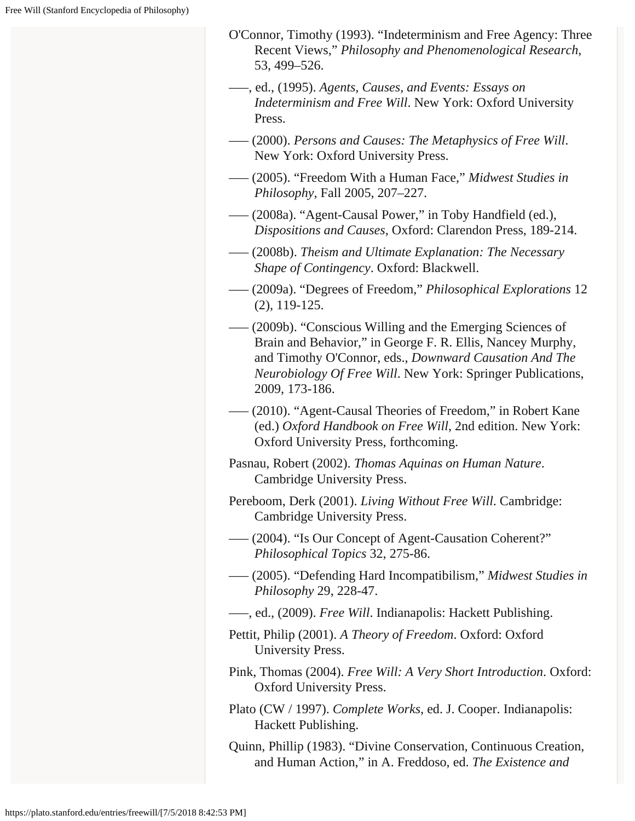- O'Connor, Timothy (1993). "Indeterminism and Free Agency: Three Recent Views," *Philosophy and Phenomenological Research*, 53, 499–526.
- –––, ed., (1995). *Agents, Causes, and Events: Essays on Indeterminism and Free Will*. New York: Oxford University Press.
- ––– (2000). *Persons and Causes: The Metaphysics of Free Will*. New York: Oxford University Press.
- ––– (2005). "Freedom With a Human Face," *Midwest Studies in Philosophy*, Fall 2005, 207–227.
- ––– (2008a). "Agent-Causal Power," in Toby Handfield (ed.), *Dispositions and Causes*, Oxford: Clarendon Press, 189-214.
- ––– (2008b). *Theism and Ultimate Explanation: The Necessary Shape of Contingency*. Oxford: Blackwell.
- ––– (2009a). "Degrees of Freedom," *Philosophical Explorations* 12 (2), 119-125.
- ––– (2009b). "Conscious Willing and the Emerging Sciences of Brain and Behavior," in George F. R. Ellis, Nancey Murphy, and Timothy O'Connor, eds., *Downward Causation And The Neurobiology Of Free Will*. New York: Springer Publications, 2009, 173-186.
- ––– (2010). "Agent-Causal Theories of Freedom," in Robert Kane (ed.) *Oxford Handbook on Free Will*, 2nd edition. New York: Oxford University Press, forthcoming.
- Pasnau, Robert (2002). *Thomas Aquinas on Human Nature*. Cambridge University Press.
- Pereboom, Derk (2001). *Living Without Free Will*. Cambridge: Cambridge University Press.
- ––– (2004). "Is Our Concept of Agent-Causation Coherent?" *Philosophical Topics* 32, 275-86.
- ––– (2005). "Defending Hard Incompatibilism," *Midwest Studies in Philosophy* 29, 228-47.
- –––, ed., (2009). *Free Will*. Indianapolis: Hackett Publishing.
- Pettit, Philip (2001). *A Theory of Freedom*. Oxford: Oxford University Press.
- Pink, Thomas (2004). *Free Will: A Very Short Introduction*. Oxford: Oxford University Press.
- Plato (CW / 1997). *Complete Works*, ed. J. Cooper. Indianapolis: Hackett Publishing.
- Quinn, Phillip (1983). "Divine Conservation, Continuous Creation, and Human Action," in A. Freddoso, ed. *The Existence and*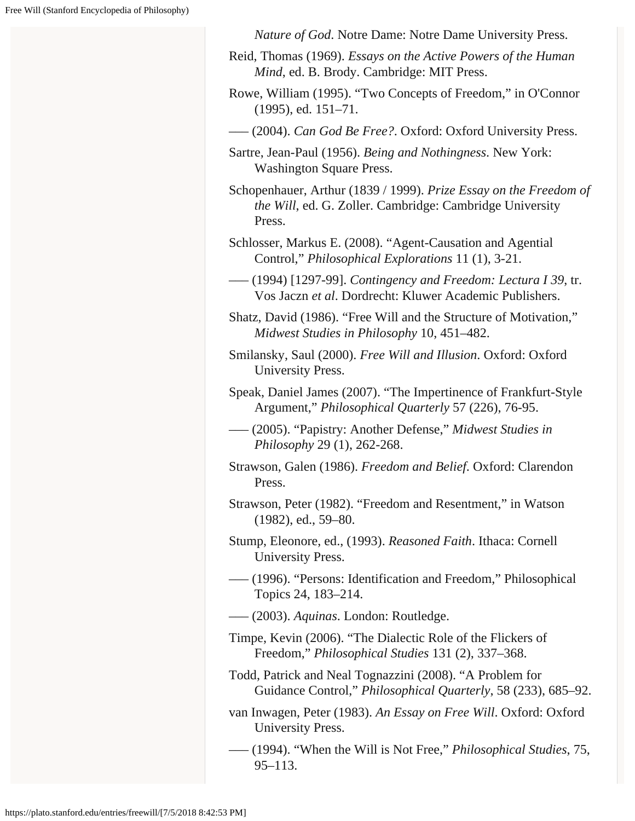*Nature of God*. Notre Dame: Notre Dame University Press.

- Reid, Thomas (1969). *Essays on the Active Powers of the Human Mind*, ed. B. Brody. Cambridge: MIT Press.
- Rowe, William (1995). "Two Concepts of Freedom," in O'Connor (1995), ed. 151–71.
- ––– (2004). *Can God Be Free?*. Oxford: Oxford University Press.
- Sartre, Jean-Paul (1956). *Being and Nothingness*. New York: Washington Square Press.
- Schopenhauer, Arthur (1839 / 1999). *Prize Essay on the Freedom of the Will*, ed. G. Zoller. Cambridge: Cambridge University Press.
- Schlosser, Markus E. (2008). "Agent-Causation and Agential Control," *Philosophical Explorations* 11 (1), 3-21.
- ––– (1994) [1297-99]. *Contingency and Freedom: Lectura I 39*, tr. Vos Jaczn *et al*. Dordrecht: Kluwer Academic Publishers.
- Shatz, David (1986). "Free Will and the Structure of Motivation," *Midwest Studies in Philosophy* 10, 451–482.
- Smilansky, Saul (2000). *Free Will and Illusion*. Oxford: Oxford University Press.
- Speak, Daniel James (2007). "The Impertinence of Frankfurt-Style Argument," *Philosophical Quarterly* 57 (226), 76-95.
- ––– (2005). "Papistry: Another Defense," *Midwest Studies in Philosophy* 29 (1), 262-268.
- Strawson, Galen (1986). *Freedom and Belief*. Oxford: Clarendon Press.
- Strawson, Peter (1982). "Freedom and Resentment," in Watson (1982), ed., 59–80.
- Stump, Eleonore, ed., (1993). *Reasoned Faith*. Ithaca: Cornell University Press.
- ––– (1996). "Persons: Identification and Freedom," Philosophical Topics 24, 183–214.
- ––– (2003). *Aquinas*. London: Routledge.
- Timpe, Kevin (2006). "The Dialectic Role of the Flickers of Freedom," *Philosophical Studies* 131 (2), 337–368.
- Todd, Patrick and Neal Tognazzini (2008). "A Problem for Guidance Control," *Philosophical Quarterly*, 58 (233), 685–92.
- van Inwagen, Peter (1983). *An Essay on Free Will*. Oxford: Oxford University Press.
- ––– (1994). "When the Will is Not Free," *Philosophical Studies*, 75, 95–113.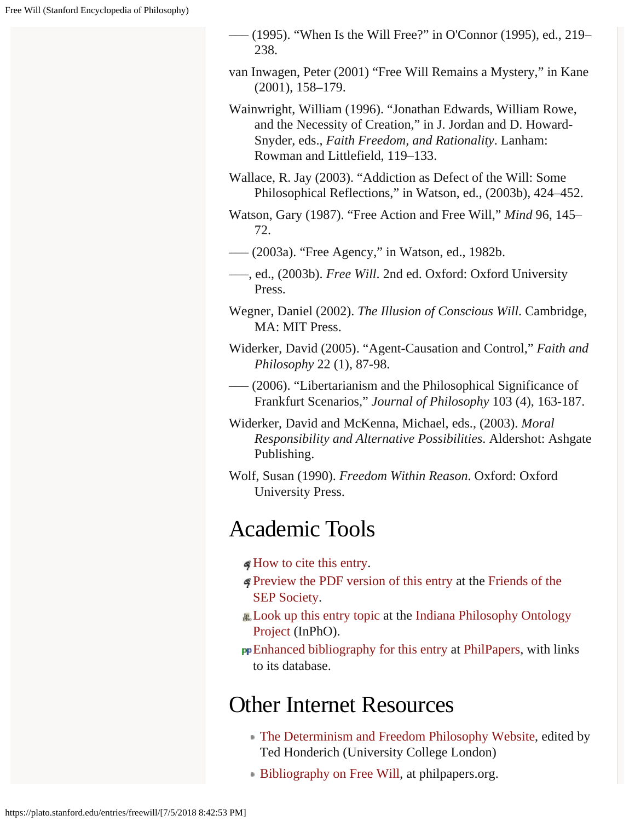- ––– (1995). "When Is the Will Free?" in O'Connor (1995), ed., 219– 238.
- van Inwagen, Peter (2001) "Free Will Remains a Mystery," in Kane (2001), 158–179.
- Wainwright, William (1996). "Jonathan Edwards, William Rowe, and the Necessity of Creation," in J. Jordan and D. Howard-Snyder, eds., *Faith Freedom, and Rationality*. Lanham: Rowman and Littlefield, 119–133.
- Wallace, R. Jay (2003). "Addiction as Defect of the Will: Some Philosophical Reflections," in Watson, ed., (2003b), 424–452.
- Watson, Gary (1987). "Free Action and Free Will," *Mind* 96, 145– 72.
- $-$  (2003a). "Free Agency," in Watson, ed., 1982b.
- –––, ed., (2003b). *Free Will*. 2nd ed. Oxford: Oxford University Press.
- Wegner, Daniel (2002). *The Illusion of Conscious Will*. Cambridge, MA: MIT Press.
- Widerker, David (2005). "Agent-Causation and Control," *Faith and Philosophy* 22 (1), 87-98.
- ––– (2006). "Libertarianism and the Philosophical Significance of Frankfurt Scenarios," *Journal of Philosophy* 103 (4), 163-187.
- Widerker, David and McKenna, Michael, eds., (2003). *Moral Responsibility and Alternative Possibilities*. Aldershot: Ashgate Publishing.
- Wolf, Susan (1990). *Freedom Within Reason*. Oxford: Oxford University Press.

#### <span id="page-22-0"></span>Academic Tools

- [How to cite this entry](https://plato.stanford.edu/cgi-bin/encyclopedia/archinfo.cgi?entry=freewill).
- [Preview the PDF version of this entry](https://leibniz.stanford.edu/friends/preview/freewill/) at the [Friends of the](https://leibniz.stanford.edu/friends/) [SEP Society](https://leibniz.stanford.edu/friends/).
- [Look up this entry topic](https://www.inphoproject.org/entity?sep=freewill&redirect=True) at the [Indiana Philosophy Ontology](https://www.inphoproject.org/) [Project](https://www.inphoproject.org/) (InPhO).
- [Enhanced bibliography for this entry](http://philpapers.org/sep/freewill/) at [PhilPapers](http://philpapers.org/), with links to its database.

#### <span id="page-22-1"></span>Other Internet Resources

- [The Determinism and Freedom Philosophy Website,](http://www.ucl.ac.uk/~uctytho/dfwIntroIndex.htm) edited by Ted Honderich (University College London)
- [Bibliography on Free Will](http://philpapers.org/browse/free-will), at philpapers.org.